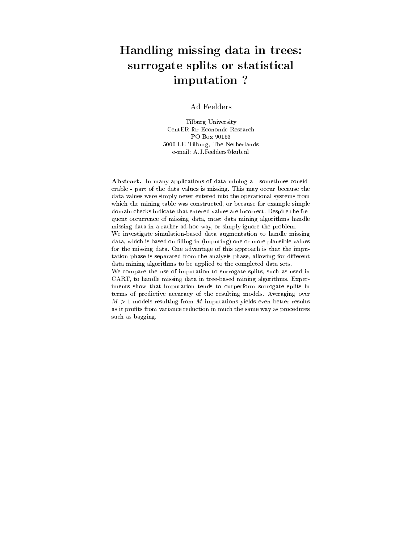# Handling missing data in trees: surrogate splits or statistically or statistically surrounded by the statistical contracts of the statistical imputation ?

Ad Feelders

Tilburg University CentER for Economic Research PO Box 90153 5000 LE Tilburg, The Netherlands e-mail: A.J.Feelders@kub.nl

Abstract. In many applications of data mining a - sometimes considerable - part of the data values is missing. This may occur because the data values were simply never entered into the operational systems from which the mining table was constructed, or because for example simple domain checks indicate that entered values are incorrect. Despite the frequent occurrence of missing data, most data mining algorithms handle missing data in a rather ad-hoc way, or simply ignore the problem. We investigate simulation-based data augmentation to handle missing data, which is based on filling-in (imputing) one or more plausible values for the missing data. One advantage of this approach is that the imputation phase is separated from the analysis phase, allowing for different data mining algorithms to be applied to the completed data sets. We compare the use of imputation to surrogate splits, such as used in CART, to handle missing data in tree-based mining algorithms. Experiments show that imputation tends to outperform surrogate splits in terms of predictive accuracy of the resulting models. Averaging over  $M > 1$  models resulting from M imputations yields even better results as it profits from variance reduction in much the same way as procedures such as bagging.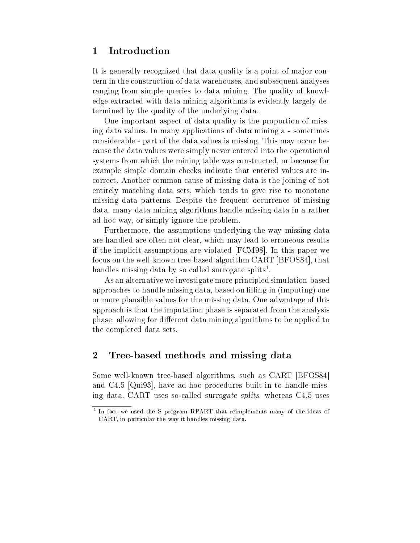#### 1Introduction

It is generally recognized that data quality is a point of major concern in the construction of data warehouses, and subsequent analyses ranging from simple queries to data mining. The quality of knowledge extracted with data mining algorithms is evidently largely determined by the quality of the underlying data.

One important aspect of data quality is the proportion of missing data values. In many applications of data mining a - sometimes considerable - part of the data values is missing. This may occur because the data values were simply never entered into the operational systems from which the mining table was constructed, or because for example simple domain checks indicate that entered values are incorrect. Another common cause of missing data is the joining of not entirely matching data sets, which tends to give rise to monotone missing data patterns. Despite the frequent occurrence of missing data, many data mining algorithms handle missing data in a rather ad-hoc way, or simply ignore the problem.

Furthermore, the assumptions underlying the way missing data are handled are often not clear, which may lead to erroneous results if the implicit assumptions are violated [FCM98]. In this paper we focus on the well-known tree-based algorithm CART [BFOS84], that handles missing data by so called surrogate splits<sup>1</sup> .

As an alternative we investigate more principled simulation-based approaches to handle missing data, based on filling-in (imputing) one or more plausible values for the missing data. One advantage of this approach is that the imputation phase is separated from the analysis phase, allowing for different data mining algorithms to be applied to the completed data sets.

## 2Tree-based methods and missing data

Some well-known tree-based algorithms, such as CART [BFOS84] and C4.5 [Qui93], have ad-hoc procedures built-in to handle missing data. CART uses so-called surrogate splits, whereas C4.5 uses

<sup>1</sup> In fact we used the S program RPART that reimplements many of the ideas of CART, in particular the way it handles missing data.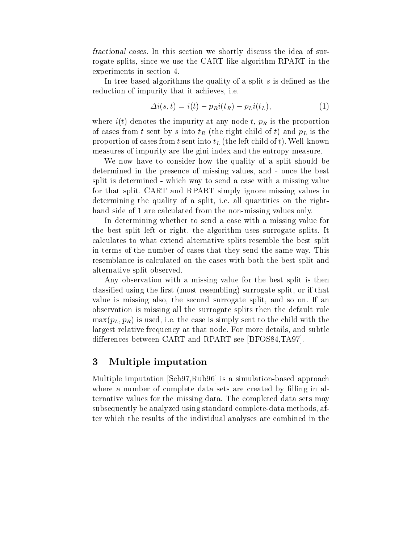fractional cases. In this section we shortly discuss the idea of surrogate splits, since we use the CART-like algorithm RPART in the experiments in section 4.

In tree-based algorithms the quality of a split  $s$  is defined as the reduction of impurity that it achieves, i.e.

$$
\Delta i(s,t) = i(t) - p_R i(t_R) - p_L i(t_L),\tag{1}
$$

where  $i(t)$  denotes the impurity at any node t,  $p_R$  is the proportion of cases from t sent by s into  $t_R$  (the right child of t) and  $p_L$  is the proportion of cases from t sent into  $t<sub>L</sub>$  (the left child of t). Well-known measures of impurity are the gini-index and the entropy measure.

We now have to consider how the quality of a split should be determined in the presence of missing values, and - once the best split is determined - which way to send a case with a missing value for that split. CART and RPART simply ignore missing values in determining the quality of a split, i.e. all quantities on the righthand side of 1 are calculated from the non-missing values only.

In determining whether to send a case with a missing value for the best split left or right, the algorithm uses surrogate splits. It calculates to what extend alternative splits resemble the best split in terms of the number of cases that they send the same way. This resemblance is calculated on the cases with both the best split and alternative split observed.

Any observation with a missing value for the best split is then classified using the first (most resembling) surrogate split, or if that value is missing also, the second surrogate split, and so on. If an observation is missing all the surrogate splits then the default rule  $\max(p_L, p_R)$  is used, i.e. the case is simply sent to the child with the largest relative frequency at that node. For more details, and subtle differences between CART and RPART see [BFOS84,TA97].

#### 3Multiple imputation

Multiple imputation [Sch97,Rub96] is a simulation-based approach where a number of complete data sets are created by filling in alternative values for the missing data. The completed data sets may subsequently be analyzed using standard complete-data methods, after which the results of the individual analyses are combined in the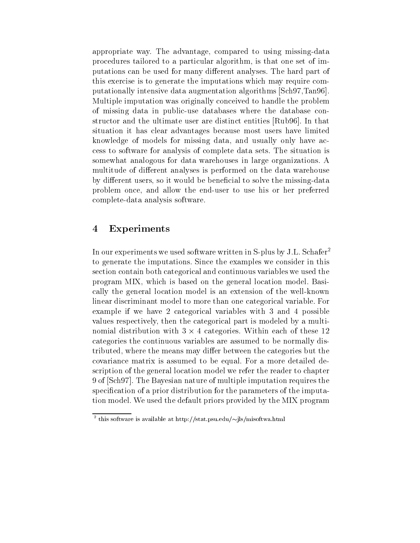appropriate way. The advantage, compared to using missing-data procedures tailored to a particular algorithm, is that one set of imputations can be used for many different analyses. The hard part of this exercise is to generate the imputations which may require computationally intensive data augmentation algorithms [Sch97,Tan96]. Multiple imputation was originally conceived to handle the problem of missing data in public-use databases where the database constructor and the ultimate user are distinct entities [Rub96]. In that situation it has clear advantages because most users have limited knowledge of models for missing data, and usually only have access to software for analysis of complete data sets. The situation is somewhat analogous for data warehouses in large organizations. A multitude of different analyses is performed on the data warehouse by different users, so it would be beneficial to solve the missing-data problem once, and allow the end-user to use his or her preferred complete-data analysis software.

### 4Experiments

In our experiments we used software written in S-plus by J.L. Schafer<sup>2</sup> to generate the imputations. Since the examples we consider in this section contain both categorical and continuous variables we used the program MIX, which is based on the general location model. Basically the general location model is an extension of the well-known linear discriminant model to more than one categorical variable. For example if we have 2 categorical variables with 3 and 4 possible values respectively, then the categorical part is modeled by a multinomial distribution with 3 - 4 categories. Within each of these 12 - 200 - 200 - 200 - 200 - 200 - 200 - 200 categories the continuous variables are assumed to be normally distributed, where the means may differ between the categories but the covariance matrix is assumed to be equal. For a more detailed description of the general location model we refer the reader to chapter 9 of [Sch97]. The Bayesian nature of multiple imputation requires the specification of a prior distribution for the parameters of the imputation model. We used the default priors provided by the MIX program

this software is available at http://stat.psu.edu/ $\sim$ lls/misoftwa.html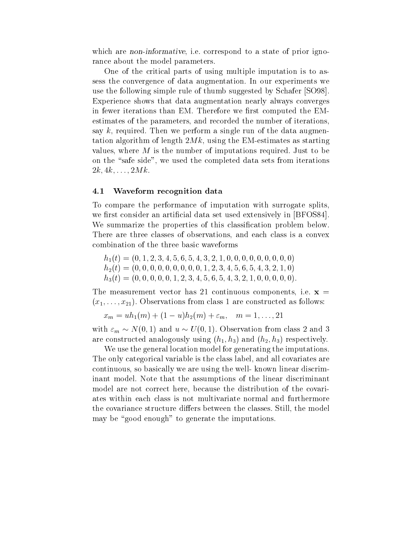which are *non-informative*, i.e. correspond to a state of prior ignorance about the model parameters.

One of the critical parts of using multiple imputation is to assess the convergence of data augmentation. In our experiments we use the following simple rule of thumb suggested by Schafer [SO98]. Experience shows that data augmentation nearly always converges in fewer iterations than EM. Therefore we first computed the EMestimates of the parameters, and recorded the number of iterations, say k, required. Then we perform a single run of the data augmentation algorithm of length  $2Mk$ , using the EM-estimates as starting values, where <sup>M</sup> is the number of imputations required. Just to be on the "safe side", we used the completed data sets from iterations  $2k, 4k, \ldots, 2Mk$ .

#### 4.1Waveform recognition data

To compare the performance of imputation with surrogate splits, we first consider an artificial data set used extensively in [BFOS84]. We summarize the properties of this classication problem below. There are three classes of observations, and each class is a convex combination of the three basic waveforms

 $h_1(t) = (0, 1, 2, 3, 4, 5, 6, 5, 4, 3, 2, 1, 0, 0, 0, 0, 0, 0, 0, 0, 0)$  $h_2(t) = (0, 0, 0, 0, 0, 0, 0, 0, 0, 1, 2, 3, 4, 5, 6, 5, 4, 3, 2, 1, 0)$  $h_3(t) = (0, 0, 0, 0, 0, 1, 2, 3, 4, 5, 6, 5, 4, 3, 2, 1, 0, 0, 0, 0, 0).$ 

The measurement vector has 21 continuous components, i.e.  $x =$  $(x_1,\ldots,x_{21})$ . Observations from class 1 are constructed as follows:

$$
x_m = uh_1(m) + (1 - u)h_2(m) + \varepsilon_m, \quad m = 1, \dots, 21
$$

with  $\varepsilon_m \sim N(0, 1)$  and  $u \sim U(0, 1)$ . Observation from class 2 and 3 are constructed analogously using  $(h_1, h_3)$  and  $(h_2, h_3)$  respectively.

We use the general location model for generating the imputations. The only categorical variable is the class label, and all covariates are continuous, so basically we are using the well- known linear discriminant model. Note that the assumptions of the linear discriminant model are not correct here, because the distribution of the covariates within each class is not multivariate normal and furthermore the covariance structure differs between the classes. Still, the model may be "good enough" to generate the imputations.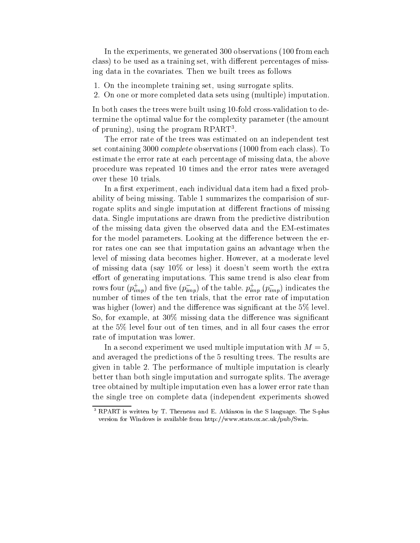In the experiments, we generated 300 observations (100 from each class) to be used as a training set, with different percentages of missing data in the covariates. Then we built trees as follows

- 1. On the incomplete training set, using surrogate splits.
- 2. On one or more completed data sets using (multiple) imputation.

In both cases the trees were built using 10-fold cross-validation to determine the optimal value for the complexity parameter (the amount of pruning), using the program RPART.

The error rate of the trees was estimated on an independent test set containing 3000 complete observations (1000 from each class). To estimate the error rate at each percentage of missing data, the above procedure was repeated 10 times and the error rates were averaged over these 10 trials.

In a first experiment, each individual data item had a fixed probability of being missing. Table 1 summarizes the comparision of surrogate splits and single imputation at different fractions of missing data. Single imputations are drawn from the predictive distribution of the missing data given the observed data and the EM-estimates for the model parameters. Looking at the difference between the error rates one can see that imputation gains an advantage when the level of missing data becomes higher. However, at a moderate level of missing data (say 10% or less) it doesn't seem worth the extra effort of generating imputations. This same trend is also clear from rows four  $(p_{imp})$  and five  $(p_{imp})$  of the table.  $p_{imp}$   $(p_{imp})$  indicates the number of times of the ten trials, that the error rate of imputation was higher (lower) and the difference was significant at the  $5\%$  level. So, for example, at  $30\%$  missing data the difference was significant at the 5% level four out of ten times, and in all four cases the error rate of imputation was lower.

In a second experiment we used multiple imputation with  $M = 5$ . and averaged the predictions of the 5 resulting trees. The results are given in table 2. The performance of multiple imputation is clearly better than both single imputation and surrogate splits. The average tree obtained by multiple imputation even has a lower error rate than the single tree on complete data (independent experiments showed

<sup>3</sup> RPART is written by T. Therneau and E. Atkinson in the S language. The S-plus version for Windows is available from http://www.stats.ox.ac.uk/pub/Swin.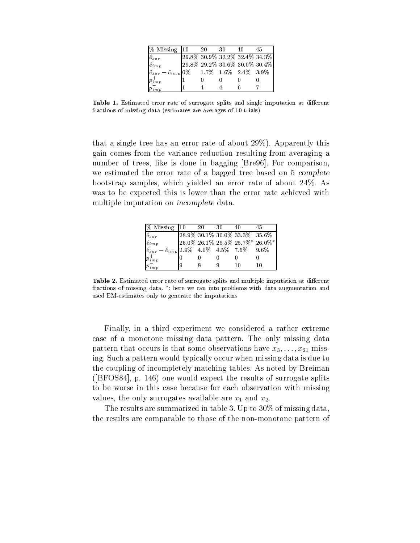| $\%$ Missing $\vert$ 10                                             | 20 | 30 |                                         |  |
|---------------------------------------------------------------------|----|----|-----------------------------------------|--|
| $\hat{e}_{sur}$                                                     |    |    | $\sqrt{29.8\%30.9\%32.2\%32.4\%34.3\%}$ |  |
| $\hat{e}_{imp}$                                                     |    |    | 29.8% 29.2% 30.6% 30.0% 30.4%           |  |
| $\left \hat{e}_{sur} - \hat{e}_{imp}\right 0\%$ 1.7% 1.6% 2.4% 3.9% |    |    |                                         |  |
| $p_{\mathit{imp}}^\mp$                                              |    |    |                                         |  |
| imp                                                                 |    |    |                                         |  |

Table 1. Estimated error rate of surrogate splits and single imputation at different fractions of missing data (estimates are averages of 10 trials)

that a single tree has an error rate of about 29%). Apparently this gain comes from the variance reduction resulting from averaging a number of trees, like is done in bagging [Bre96]. For comparison, we estimated the error rate of a bagged tree based on 5 complete bootstrap samples, which yielded an error rate of about 24%. As was to be expected this is lower than the error rate achieved with multiple imputation on incomplete data.

| % Missing 10                                                          | 20 | 30 |                               | 45                              |
|-----------------------------------------------------------------------|----|----|-------------------------------|---------------------------------|
| $\hat{e}_{sur}$                                                       |    |    | 28.9% 30.1% 30.0% 33.3% 35.6% |                                 |
| $\hat{e}_{imp}$                                                       |    |    |                               | 26.0% 26.1% 25.5% 25.7%* 26.0%* |
| $\left \hat{e}_{sur} - \hat{e}_{imp}\right $ 2.9% 4.0% 4.5% 7.6% 9.6% |    |    |                               |                                 |
| $p_{imp}^+$                                                           |    |    |                               |                                 |
|                                                                       |    |    |                               |                                 |

Table 2. Estimated error rate of surrogate splits and multiple imputation at different fractions of missing data. : here we ran into problems with data augmentation and used EM-estimates only to generate the imputations

Finally, in a third experiment we considered a rather extreme case of a monotone missing data pattern. The only missing data pattern that occurs is that some observations have  $x_3,\ldots,x_{21}$  missing. Such a pattern would typically occur when missing data is due to the coupling of incompletely matching tables. As noted by Breiman ([BFOS84], p. 146) one would expect the results of surrogate splits to be worse in this case because for each observation with missing values, the only surrogates available are  $x_1$  and  $x_2$ .

The results are summarized in table 3. Up to 30% of missing data, the results are comparable to those of the non-monotone pattern of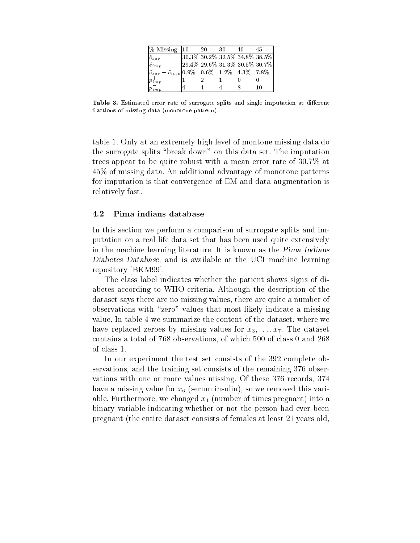| $\%$ Missing 10                                                       |   | -20 | 30 | -45                           |
|-----------------------------------------------------------------------|---|-----|----|-------------------------------|
| $\hat{e}_{sur}$                                                       |   |     |    | 30.3% 30.2% 32.5% 34.8% 38.5% |
| $\hat{e}_{imp}$                                                       |   |     |    | 29.4% 29.6% 31.3% 30.5% 30.7% |
| $\left \hat{e}_{sur} - \hat{e}_{imp}\right $ 0.9% 0.6% 1.2% 4.3% 7.8% |   |     |    |                               |
| $p_{imp}^{+}$                                                         |   |     |    |                               |
| $\overline{m}$                                                        | 4 |     |    |                               |

Table 3. Estimated error rate of surrogate splits and single imputation at different fractions of missing data (monotone pattern)

table 1. Only at an extremely high level of montone missing data do the surrogate splits \break down" on this data set. The imputation trees appear to be quite robust with a mean error rate of 30.7% at 45% of missing data. An additional advantage of monotone patterns for imputation is that convergence of EM and data augmentation is relatively fast.

#### 4.2Pima indians database

In this section we perform a comparison of surrogate splits and imputation on a real life data set that has been used quite extensively in the machine learning literature. It is known as the Pima Indians Diabetes Database, and is available at the UCI machine learning repository [BKM99].

The class label indicates whether the patient shows signs of diabetes according to WHO criteria. Although the description of the dataset says there are no missing values, there are quite a number of observations with "zero" values that most likely indicate a missing value. In table 4 we summarize the content of the dataset, where we have replaced zeroes by missing values for  $x_3,\ldots,x_7$ . The dataset contains a total of 768 observations, of which 500 of class 0 and 268 of class 1.

In our experiment the test set consists of the 392 complete observations, and the training set consists of the remaining 376 observations with one or more values missing. Of these 376 records, 374 have a missing value for  $x<sub>6</sub>$  (serum insulin), so we removed this variable. Furthermore, we changed  $x_1$  (number of times pregnant) into a binary variable indicating whether or not the person had ever been pregnant (the entire dataset consists of females at least 21 years old,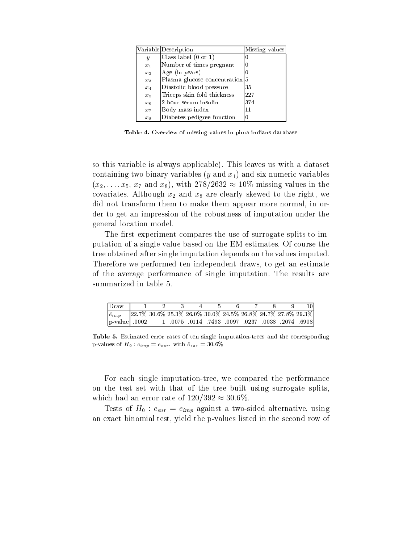|         | Variable Description                      | Missing values |
|---------|-------------------------------------------|----------------|
| y       | Class label (0 or 1)                      |                |
| $x_1$   | Number of times pregnant                  |                |
| $x_2$   | Age (in years)                            |                |
| $x_3$   | Plasma glucose concentration <sup>5</sup> |                |
| $x_4$   | Diastolic blood pressure                  | 35             |
| $x_{5}$ | Triceps skin fold thickness               | 227            |
| $x_{6}$ | 2-hour serum insulin                      | 374            |
| $x_7$   | Body mass index                           | 11             |
| $x_8$   | Diabetes pedigree function                |                |

Table 4. Overview of missing values in pima indians database

so this variable is always applicable). This leaves us with a dataset containing two binary variables  $(y \text{ and } x_1)$  and six numeric variables  $(x_2,\ldots,x_5,\,x_7 \text{ and } x_8)$ , with  $278/2632 \approx 10\%$  missing values in the covariates. Although  $x_2$  and  $x_8$  are clearly skewed to the right, we did not transform them to make them appear more normal, in order to get an impression of the robustness of imputation under the general location model.

The first experiment compares the use of surrogate splits to imputation of a single value based on the EM-estimates. Of course the tree obtained after single imputation depends on the values imputed. Therefore we performed ten independent draws, to get an estimate of the average performance of single imputation. The results are summarized in table 5.

| Draw 1 2 3 4 5 6 7                                                          |  |  |  |  |  |
|-----------------------------------------------------------------------------|--|--|--|--|--|
| $\hat{e}_{imp}$ 22.7% 30.6% 25.3% 26.0% 30.0% 24.5% 26.8% 24.7% 27.8% 29.3% |  |  |  |  |  |
| $\vert$ p-value 0002 1 0075 0114 7493 0097 0237 0038 2074 6908              |  |  |  |  |  |

Table 5. Estimated error rates of ten single imputation-trees and the corresponding p-values of  $H_0 : e_{imp} = e_{sur}$ , with  $\hat{e}_{sur} = 30.6\%$ 

For each single imputation-tree, we compared the performance on the test set with that of the tree built using surrogate splits, which had an error rate of  $120/392 \approx 30.6\%$ .

Tests of  $H_0: e_{sur} = e_{imp}$  against a two-sided alternative, using an exact binomial test, yield the p-values listed in the second row of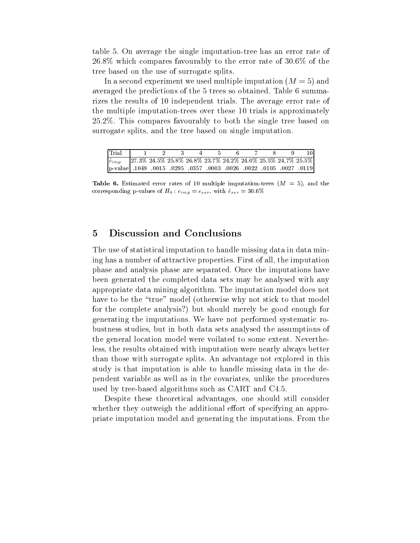table 5.On average the single imputation-tree has an error rate of 26.8% which compares favourably to the error rate of 30.6% of the tree based on the use of surrogate splits.

In a second experiment we used multiple imputation  $(M = 5)$  and averaged the predictions of the 5 trees so obtained. Table 6 summarizes the results of 10 independent trials. The average error rate of the multiple imputation-trees over these 10 trials is approximately 25.2%. This compares favourably to both the single tree based on surrogate splits, and the tree based on single imputation.

| Trial 1 2 3 4 5 6 7 8                                                       |  |  |  |  |  |
|-----------------------------------------------------------------------------|--|--|--|--|--|
| $\hat{e}_{imp}$ 27.3% 24.5% 25.8% 26.8% 23.7% 24.2% 24.0% 25.5% 24.7% 25.5% |  |  |  |  |  |
| p-value 1048 .0015 .0295 .0357 .0003 .0026 .0022 .0105 .027 .0119           |  |  |  |  |  |

**Table 6.** Estimated error rates of 10 multiple imputation-trees  $(M = 5)$ , and the corresponding p-values of  $H_0 : e_{imp} = e_{sur}$ , with  $\hat{e}_{sur} = 30.6\%$ 

#### 5Discussion and Conclusions

The use of statistical imputation to handle missing data in data mining has a number of attractive properties. First of all, the imputation phase and analysis phase are separated. Once the imputations have been generated the completed data sets may be analysed with any appropriate data mining algorithm. The imputation model does not have to be the "true" model (otherwise why not stick to that model for the complete analysis?) but should merely be good enough for generating the imputations. We have not performed systematic robustness studies, but in both data sets analysed the assumptions of the general location model were voilated to some extent. Nevertheless, the results obtained with imputation were nearly always better than those with surrogate splits. An advantage not explored in this study is that imputation is able to handle missing data in the dependent variable as well as in the covariates, unlike the procedures used by tree-based algorithms such as CART and C4.5.

Despite these theoretical advantages, one should still consider whether they outweigh the additional effort of specifying an appropriate imputation model and generating the imputations. From the